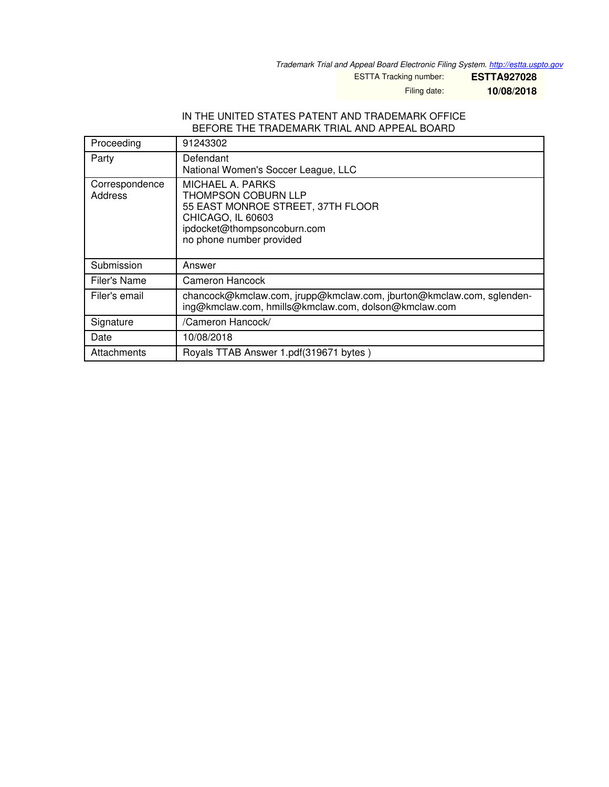*Trademark Trial and Appeal Board Electronic Filing System. <http://estta.uspto.gov>*

ESTTA Tracking number: **ESTTA927028**

Filing date: **10/08/2018**

#### IN THE UNITED STATES PATENT AND TRADEMARK OFFICE BEFORE THE TRADEMARK TRIAL AND APPEAL BOARD

| Proceeding                | 91243302                                                                                                                                                     |
|---------------------------|--------------------------------------------------------------------------------------------------------------------------------------------------------------|
| Party                     | Defendant<br>National Women's Soccer League, LLC                                                                                                             |
| Correspondence<br>Address | MICHAEL A. PARKS<br>THOMPSON COBURN LLP<br>55 EAST MONROE STREET, 37TH FLOOR<br>CHICAGO, IL 60603<br>ipdocket@thompsoncoburn.com<br>no phone number provided |
| Submission                | Answer                                                                                                                                                       |
| Filer's Name              | <b>Cameron Hancock</b>                                                                                                                                       |
| Filer's email             | chancock@kmclaw.com, jrupp@kmclaw.com, jburton@kmclaw.com, sglenden-<br>ing@kmclaw.com, hmills@kmclaw.com, dolson@kmclaw.com                                 |
| Signature                 | /Cameron Hancock/                                                                                                                                            |
| Date                      | 10/08/2018                                                                                                                                                   |
| Attachments               | Royals TTAB Answer 1.pdf(319671 bytes)                                                                                                                       |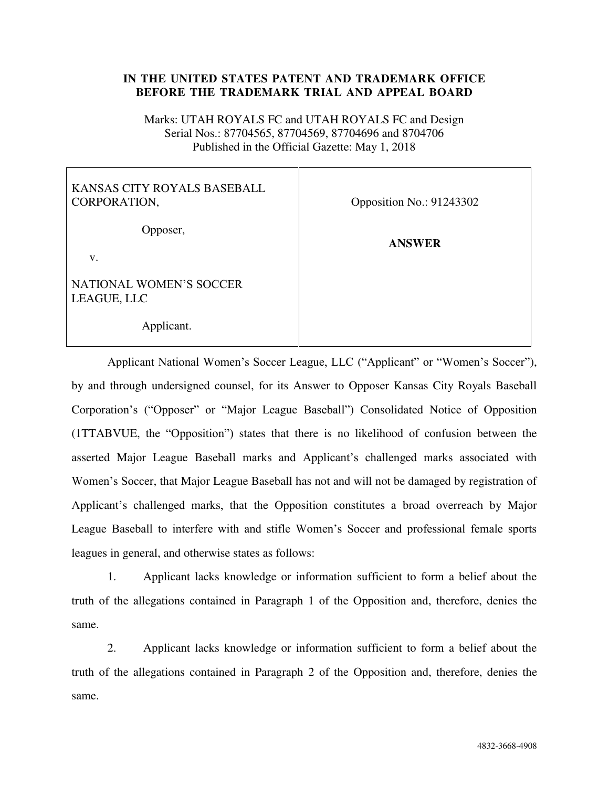# **IN THE UNITED STATES PATENT AND TRADEMARK OFFICE BEFORE THE TRADEMARK TRIAL AND APPEAL BOARD**

Marks: UTAH ROYALS FC and UTAH ROYALS FC and Design Serial Nos.: 87704565, 87704569, 87704696 and 8704706 Published in the Official Gazette: May 1, 2018

# KANSAS CITY ROYALS BASEBALL CORPORATION,

Opposer,

v.

NATIONAL WOMEN'S SOCCER LEAGUE, LLC

Applicant.

Opposition No.: 91243302

**ANSWER** 

Applicant National Women's Soccer League, LLC ("Applicant" or "Women's Soccer"), by and through undersigned counsel, for its Answer to Opposer Kansas City Royals Baseball Corporation's ("Opposer" or "Major League Baseball") Consolidated Notice of Opposition (1TTABVUE, the "Opposition") states that there is no likelihood of confusion between the asserted Major League Baseball marks and Applicant's challenged marks associated with Women's Soccer, that Major League Baseball has not and will not be damaged by registration of Applicant's challenged marks, that the Opposition constitutes a broad overreach by Major League Baseball to interfere with and stifle Women's Soccer and professional female sports leagues in general, and otherwise states as follows:

1. Applicant lacks knowledge or information sufficient to form a belief about the truth of the allegations contained in Paragraph 1 of the Opposition and, therefore, denies the same.

2. Applicant lacks knowledge or information sufficient to form a belief about the truth of the allegations contained in Paragraph 2 of the Opposition and, therefore, denies the same.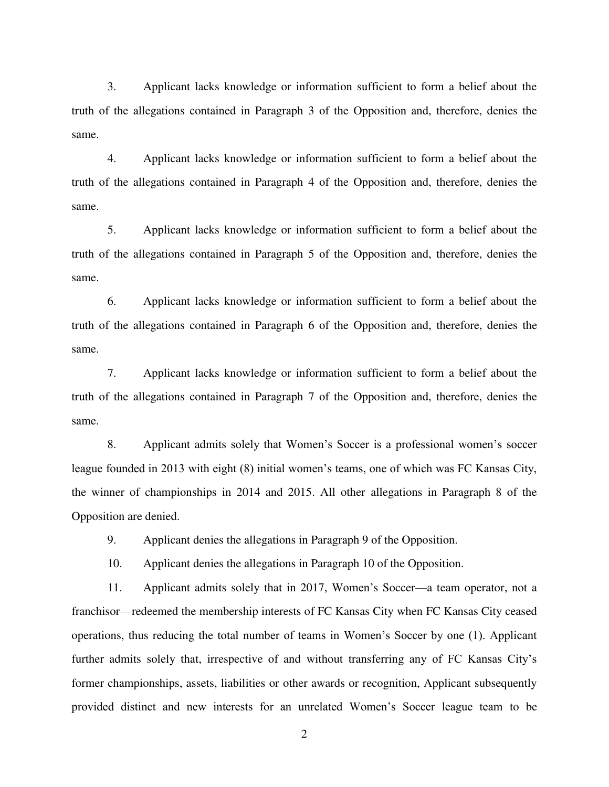3. Applicant lacks knowledge or information sufficient to form a belief about the truth of the allegations contained in Paragraph 3 of the Opposition and, therefore, denies the same.

4. Applicant lacks knowledge or information sufficient to form a belief about the truth of the allegations contained in Paragraph 4 of the Opposition and, therefore, denies the same.

5. Applicant lacks knowledge or information sufficient to form a belief about the truth of the allegations contained in Paragraph 5 of the Opposition and, therefore, denies the same.

6. Applicant lacks knowledge or information sufficient to form a belief about the truth of the allegations contained in Paragraph 6 of the Opposition and, therefore, denies the same.

7. Applicant lacks knowledge or information sufficient to form a belief about the truth of the allegations contained in Paragraph 7 of the Opposition and, therefore, denies the same.

8. Applicant admits solely that Women's Soccer is a professional women's soccer league founded in 2013 with eight (8) initial women's teams, one of which was FC Kansas City, the winner of championships in 2014 and 2015. All other allegations in Paragraph 8 of the Opposition are denied.

9. Applicant denies the allegations in Paragraph 9 of the Opposition.

10. Applicant denies the allegations in Paragraph 10 of the Opposition.

11. Applicant admits solely that in 2017, Women's Soccer—a team operator, not a franchisor—redeemed the membership interests of FC Kansas City when FC Kansas City ceased operations, thus reducing the total number of teams in Women's Soccer by one (1). Applicant further admits solely that, irrespective of and without transferring any of FC Kansas City's former championships, assets, liabilities or other awards or recognition, Applicant subsequently provided distinct and new interests for an unrelated Women's Soccer league team to be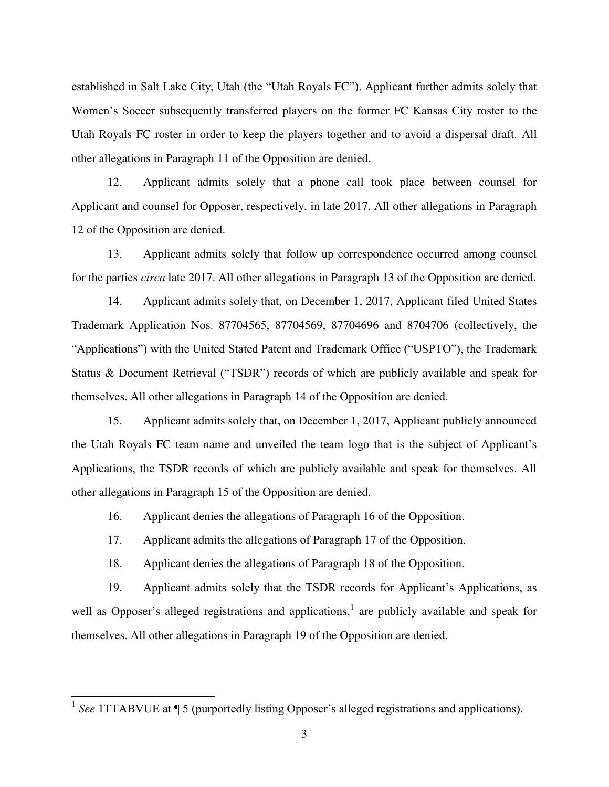established in Salt Lake City, Utah (the "Utah Royals FC"). Applicant further admits solely that Women's Soccer subsequently transferred players on the former FC Kansas City roster to the Utah Royals FC roster in order to keep the players together and to avoid a dispersal draft. All other allegations in Paragraph 11 of the Opposition are denied.

12. Applicant admits solely that a phone call took place between counsel for Applicant and counsel for Opposer, respectively, in late 2017. All other allegations in Paragraph 12 of the Opposition are denied.

13. Applicant admits solely that follow up correspondence occurred among counsel for the parties *circa* late 2017. All other allegations in Paragraph 13 of the Opposition are denied.

14. Applicant admits solely that, on December 1, 2017, Applicant filed United States Trademark Application Nos. 87704565, 87704569, 87704696 and 8704706 (collectively, the "Applications") with the United Stated Patent and Trademark Office ("USPTO"), the Trademark Status & Document Retrieval ("TSDR") records of which are publicly available and speak for themselves. All other allegations in Paragraph 14 of the Opposition are denied.

15. Applicant admits solely that, on December 1, 2017, Applicant publicly announced the Utah Royals FC team name and unveiled the team logo that is the subject of Applicant's Applications, the TSDR records of which are publicly available and speak for themselves. All other allegations in Paragraph 15 of the Opposition are denied.

16. Applicant denies the allegations of Paragraph 16 of the Opposition.

17. Applicant admits the allegations of Paragraph 17 of the Opposition.

18. Applicant denies the allegations of Paragraph 18 of the Opposition.

19. Applicant admits solely that the TSDR records for Applicant's Applications, as well as Opposer's alleged registrations and applications,<sup>1</sup> are publicly available and speak for themselves. All other allegations in Paragraph 19 of the Opposition are denied.

l

<sup>&</sup>lt;sup>1</sup> See 1TTABVUE at ¶ 5 (purportedly listing Opposer's alleged registrations and applications).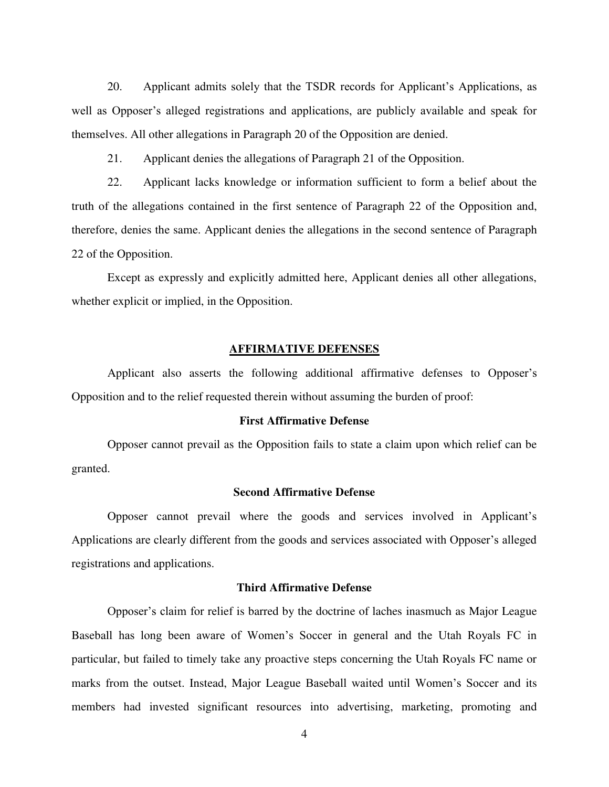20. Applicant admits solely that the TSDR records for Applicant's Applications, as well as Opposer's alleged registrations and applications, are publicly available and speak for themselves. All other allegations in Paragraph 20 of the Opposition are denied.

21. Applicant denies the allegations of Paragraph 21 of the Opposition.

22. Applicant lacks knowledge or information sufficient to form a belief about the truth of the allegations contained in the first sentence of Paragraph 22 of the Opposition and, therefore, denies the same. Applicant denies the allegations in the second sentence of Paragraph 22 of the Opposition.

Except as expressly and explicitly admitted here, Applicant denies all other allegations, whether explicit or implied, in the Opposition.

# **AFFIRMATIVE DEFENSES**

Applicant also asserts the following additional affirmative defenses to Opposer's Opposition and to the relief requested therein without assuming the burden of proof:

# **First Affirmative Defense**

Opposer cannot prevail as the Opposition fails to state a claim upon which relief can be granted.

### **Second Affirmative Defense**

Opposer cannot prevail where the goods and services involved in Applicant's Applications are clearly different from the goods and services associated with Opposer's alleged registrations and applications.

#### **Third Affirmative Defense**

Opposer's claim for relief is barred by the doctrine of laches inasmuch as Major League Baseball has long been aware of Women's Soccer in general and the Utah Royals FC in particular, but failed to timely take any proactive steps concerning the Utah Royals FC name or marks from the outset. Instead, Major League Baseball waited until Women's Soccer and its members had invested significant resources into advertising, marketing, promoting and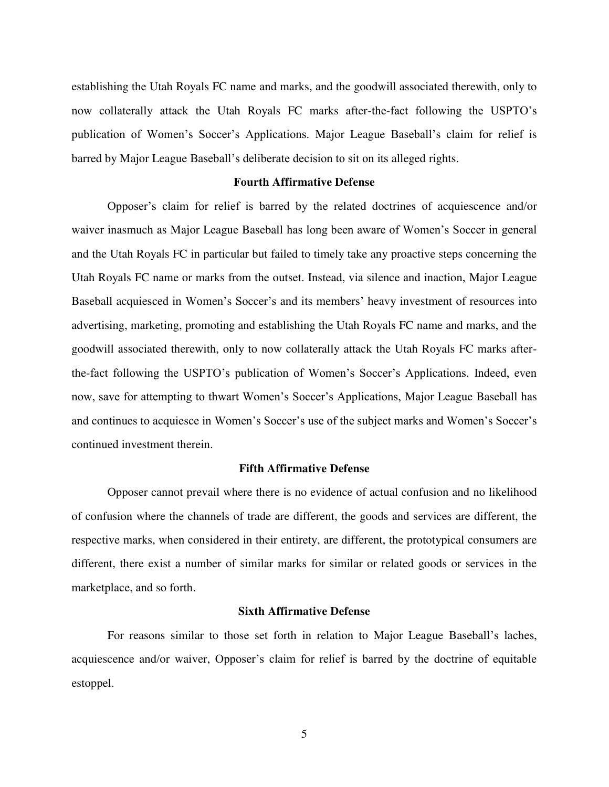establishing the Utah Royals FC name and marks, and the goodwill associated therewith, only to now collaterally attack the Utah Royals FC marks after-the-fact following the USPTO's publication of Women's Soccer's Applications. Major League Baseball's claim for relief is barred by Major League Baseball's deliberate decision to sit on its alleged rights.

# **Fourth Affirmative Defense**

Opposer's claim for relief is barred by the related doctrines of acquiescence and/or waiver inasmuch as Major League Baseball has long been aware of Women's Soccer in general and the Utah Royals FC in particular but failed to timely take any proactive steps concerning the Utah Royals FC name or marks from the outset. Instead, via silence and inaction, Major League Baseball acquiesced in Women's Soccer's and its members' heavy investment of resources into advertising, marketing, promoting and establishing the Utah Royals FC name and marks, and the goodwill associated therewith, only to now collaterally attack the Utah Royals FC marks afterthe-fact following the USPTO's publication of Women's Soccer's Applications. Indeed, even now, save for attempting to thwart Women's Soccer's Applications, Major League Baseball has and continues to acquiesce in Women's Soccer's use of the subject marks and Women's Soccer's continued investment therein.

# **Fifth Affirmative Defense**

Opposer cannot prevail where there is no evidence of actual confusion and no likelihood of confusion where the channels of trade are different, the goods and services are different, the respective marks, when considered in their entirety, are different, the prototypical consumers are different, there exist a number of similar marks for similar or related goods or services in the marketplace, and so forth.

#### **Sixth Affirmative Defense**

For reasons similar to those set forth in relation to Major League Baseball's laches, acquiescence and/or waiver, Opposer's claim for relief is barred by the doctrine of equitable estoppel.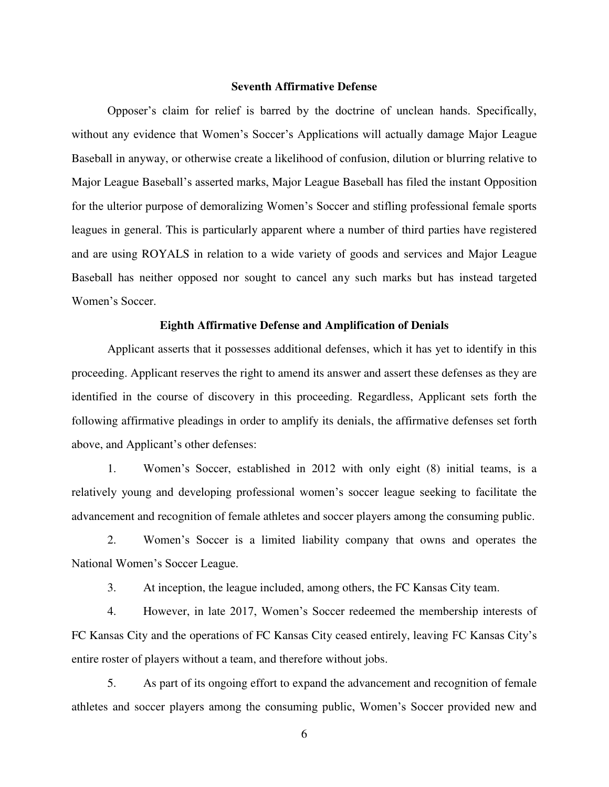#### **Seventh Affirmative Defense**

Opposer's claim for relief is barred by the doctrine of unclean hands. Specifically, without any evidence that Women's Soccer's Applications will actually damage Major League Baseball in anyway, or otherwise create a likelihood of confusion, dilution or blurring relative to Major League Baseball's asserted marks, Major League Baseball has filed the instant Opposition for the ulterior purpose of demoralizing Women's Soccer and stifling professional female sports leagues in general. This is particularly apparent where a number of third parties have registered and are using ROYALS in relation to a wide variety of goods and services and Major League Baseball has neither opposed nor sought to cancel any such marks but has instead targeted Women's Soccer.

# **Eighth Affirmative Defense and Amplification of Denials**

Applicant asserts that it possesses additional defenses, which it has yet to identify in this proceeding. Applicant reserves the right to amend its answer and assert these defenses as they are identified in the course of discovery in this proceeding. Regardless, Applicant sets forth the following affirmative pleadings in order to amplify its denials, the affirmative defenses set forth above, and Applicant's other defenses:

1. Women's Soccer, established in 2012 with only eight (8) initial teams, is a relatively young and developing professional women's soccer league seeking to facilitate the advancement and recognition of female athletes and soccer players among the consuming public.

2. Women's Soccer is a limited liability company that owns and operates the National Women's Soccer League.

3. At inception, the league included, among others, the FC Kansas City team.

4. However, in late 2017, Women's Soccer redeemed the membership interests of FC Kansas City and the operations of FC Kansas City ceased entirely, leaving FC Kansas City's entire roster of players without a team, and therefore without jobs.

5. As part of its ongoing effort to expand the advancement and recognition of female athletes and soccer players among the consuming public, Women's Soccer provided new and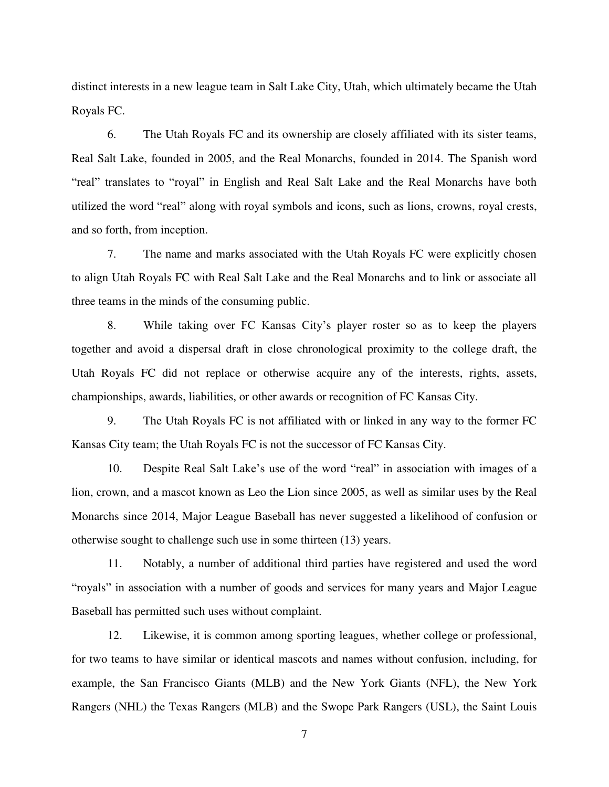distinct interests in a new league team in Salt Lake City, Utah, which ultimately became the Utah Royals FC.

6. The Utah Royals FC and its ownership are closely affiliated with its sister teams, Real Salt Lake, founded in 2005, and the Real Monarchs, founded in 2014. The Spanish word "real" translates to "royal" in English and Real Salt Lake and the Real Monarchs have both utilized the word "real" along with royal symbols and icons, such as lions, crowns, royal crests, and so forth, from inception.

7. The name and marks associated with the Utah Royals FC were explicitly chosen to align Utah Royals FC with Real Salt Lake and the Real Monarchs and to link or associate all three teams in the minds of the consuming public.

8. While taking over FC Kansas City's player roster so as to keep the players together and avoid a dispersal draft in close chronological proximity to the college draft, the Utah Royals FC did not replace or otherwise acquire any of the interests, rights, assets, championships, awards, liabilities, or other awards or recognition of FC Kansas City.

9. The Utah Royals FC is not affiliated with or linked in any way to the former FC Kansas City team; the Utah Royals FC is not the successor of FC Kansas City.

10. Despite Real Salt Lake's use of the word "real" in association with images of a lion, crown, and a mascot known as Leo the Lion since 2005, as well as similar uses by the Real Monarchs since 2014, Major League Baseball has never suggested a likelihood of confusion or otherwise sought to challenge such use in some thirteen (13) years.

11. Notably, a number of additional third parties have registered and used the word "royals" in association with a number of goods and services for many years and Major League Baseball has permitted such uses without complaint.

12. Likewise, it is common among sporting leagues, whether college or professional, for two teams to have similar or identical mascots and names without confusion, including, for example, the San Francisco Giants (MLB) and the New York Giants (NFL), the New York Rangers (NHL) the Texas Rangers (MLB) and the Swope Park Rangers (USL), the Saint Louis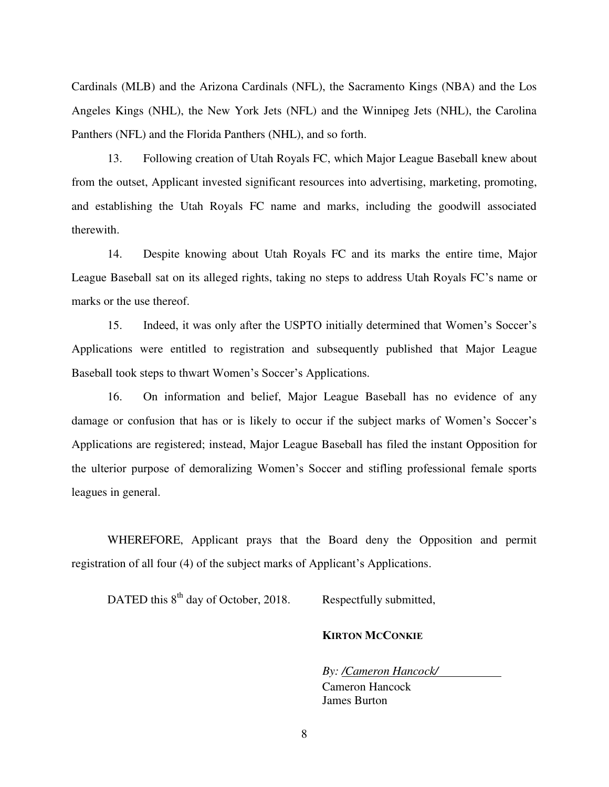Cardinals (MLB) and the Arizona Cardinals (NFL), the Sacramento Kings (NBA) and the Los Angeles Kings (NHL), the New York Jets (NFL) and the Winnipeg Jets (NHL), the Carolina Panthers (NFL) and the Florida Panthers (NHL), and so forth.

13. Following creation of Utah Royals FC, which Major League Baseball knew about from the outset, Applicant invested significant resources into advertising, marketing, promoting, and establishing the Utah Royals FC name and marks, including the goodwill associated therewith.

14. Despite knowing about Utah Royals FC and its marks the entire time, Major League Baseball sat on its alleged rights, taking no steps to address Utah Royals FC's name or marks or the use thereof.

15. Indeed, it was only after the USPTO initially determined that Women's Soccer's Applications were entitled to registration and subsequently published that Major League Baseball took steps to thwart Women's Soccer's Applications.

16. On information and belief, Major League Baseball has no evidence of any damage or confusion that has or is likely to occur if the subject marks of Women's Soccer's Applications are registered; instead, Major League Baseball has filed the instant Opposition for the ulterior purpose of demoralizing Women's Soccer and stifling professional female sports leagues in general.

WHEREFORE, Applicant prays that the Board deny the Opposition and permit registration of all four (4) of the subject marks of Applicant's Applications.

DATED this  $8<sup>th</sup>$  day of October, 2018. Respectfully submitted,

# **KIRTON MCCONKIE**

*By: /Cameron Hancock/*  Cameron Hancock James Burton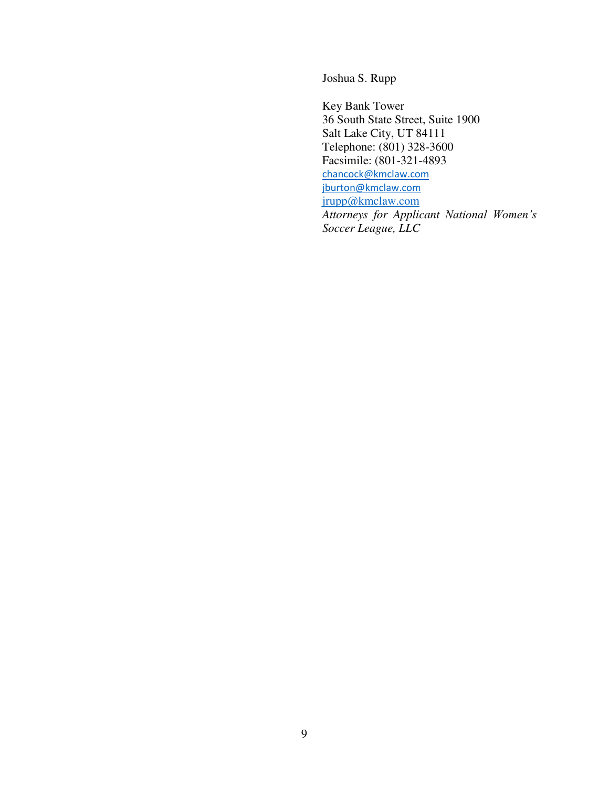Joshua S. Rupp

Key Bank Tower 36 South State Street, Suite 1900 Salt Lake City, UT 84111 Telephone: (801) 328-3600 Facsimile: (801-321-4893 [chancock@kmclaw.com](mailto:chancock@kmclaw.com) [jburton@kmclaw.com](mailto:jburton@kmclaw.com) [jrupp@kmclaw.com](mailto:jrupp@kmclaw.com) *Attorneys for Applicant National Women's Soccer League, LLC*